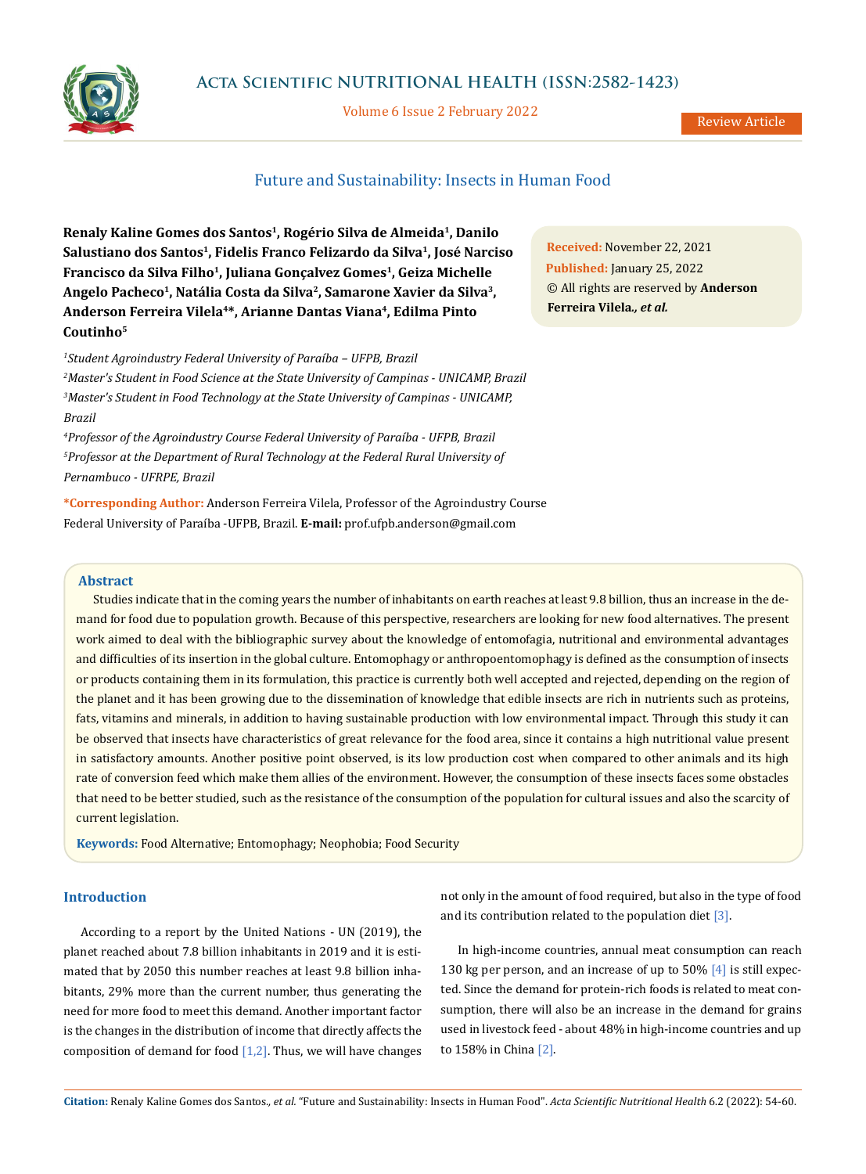

## **Acta Scientific NUTRITIONAL HEALTH (ISSN:2582-1423)**

Volume 6 Issue 2 February 2022

Review Article

# Future and Sustainability: Insects in Human Food

Renaly Kaline Gomes dos Santos<sup>1</sup>, Rogério Silva de Almeida<sup>1</sup>, Danilo **Salustiano dos Santos1, Fidelis Franco Felizardo da Silva1, José Narciso Francisco da Silva Filho1, Juliana Gonçalvez Gomes1, Geiza Michelle Angelo Pacheco1, Natália Costa da Silva2, Samarone Xavier da Silva3, Anderson Ferreira Vilela4\*, Arianne Dantas Viana4, Edilma Pinto Coutinho5**

 *Student Agroindustry Federal University of Paraíba – UFPB, Brazil Master's Student in Food Science at the State University of Campinas - UNICAMP, Brazil Master's Student in Food Technology at the State University of Campinas - UNICAMP, Brazil*

*4 Professor of the Agroindustry Course Federal University of Paraíba - UFPB, Brazil 5 Professor at the Department of Rural Technology at the Federal Rural University of Pernambuco - UFRPE, Brazil*

**\*Corresponding Author:** Anderson Ferreira Vilela, Professor of the Agroindustry Course Federal University of Paraíba -UFPB, Brazil. **E-mail:** [prof.ufpb.anderson@gmail.com](mailto:prof.ufpb.anderson%40gmail.com?subject=)

**Abstract**

Studies indicate that in the coming years the number of inhabitants on earth reaches at least 9.8 billion, thus an increase in the demand for food due to population growth. Because of this perspective, researchers are looking for new food alternatives. The present work aimed to deal with the bibliographic survey about the knowledge of entomofagia, nutritional and environmental advantages and difficulties of its insertion in the global culture. Entomophagy or anthropoentomophagy is defined as the consumption of insects or products containing them in its formulation, this practice is currently both well accepted and rejected, depending on the region of the planet and it has been growing due to the dissemination of knowledge that edible insects are rich in nutrients such as proteins, fats, vitamins and minerals, in addition to having sustainable production with low environmental impact. Through this study it can be observed that insects have characteristics of great relevance for the food area, since it contains a high nutritional value present in satisfactory amounts. Another positive point observed, is its low production cost when compared to other animals and its high rate of conversion feed which make them allies of the environment. However, the consumption of these insects faces some obstacles that need to be better studied, such as the resistance of the consumption of the population for cultural issues and also the scarcity of current legislation.

**Keywords:** Food Alternative; Entomophagy; Neophobia; Food Security

### **Introduction**

According to a report by the United Nations - UN (2019), the planet reached about 7.8 billion inhabitants in 2019 and it is estimated that by 2050 this number reaches at least 9.8 billion inhabitants, 29% more than the current number, thus generating the need for more food to meet this demand. Another important factor is the changes in the distribution of income that directly affects the composition of demand for food  $[1,2]$ . Thus, we will have changes not only in the amount of food required, but also in the type of food and its contribution related to the population diet [3].

In high-income countries, annual meat consumption can reach 130 kg per person, and an increase of up to 50% [4] is still expected. Since the demand for protein-rich foods is related to meat consumption, there will also be an increase in the demand for grains used in livestock feed - about 48% in high-income countries and up to 158% in China [2].

**Received:** November 22, 2021 **Published:** January 25, 2022 © All rights are reserved by **Anderson Ferreira Vilela***., et al.*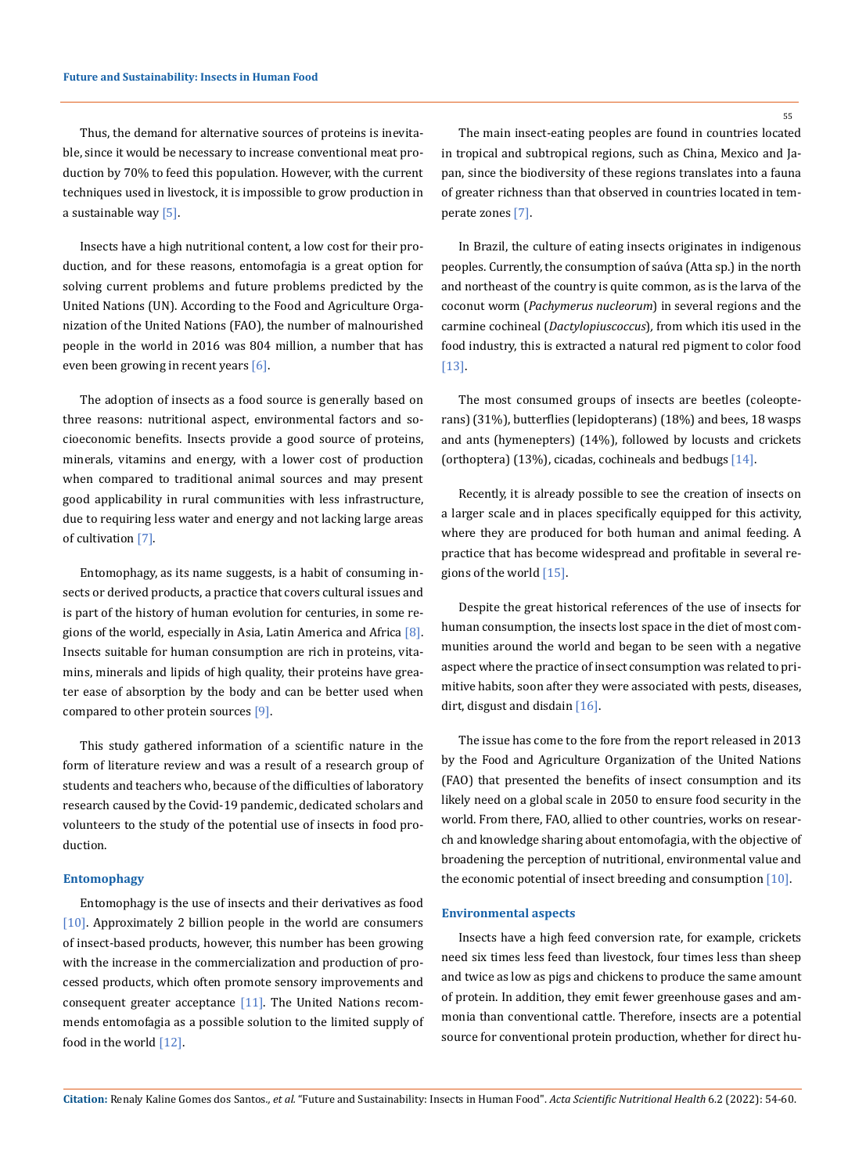Thus, the demand for alternative sources of proteins is inevitable, since it would be necessary to increase conventional meat production by 70% to feed this population. However, with the current techniques used in livestock, it is impossible to grow production in a sustainable way [5].

Insects have a high nutritional content, a low cost for their production, and for these reasons, entomofagia is a great option for solving current problems and future problems predicted by the United Nations (UN). According to the Food and Agriculture Organization of the United Nations (FAO), the number of malnourished people in the world in 2016 was 804 million, a number that has even been growing in recent years [6].

The adoption of insects as a food source is generally based on three reasons: nutritional aspect, environmental factors and socioeconomic benefits. Insects provide a good source of proteins, minerals, vitamins and energy, with a lower cost of production when compared to traditional animal sources and may present good applicability in rural communities with less infrastructure, due to requiring less water and energy and not lacking large areas of cultivation [7].

Entomophagy, as its name suggests, is a habit of consuming insects or derived products, a practice that covers cultural issues and is part of the history of human evolution for centuries, in some regions of the world, especially in Asia, Latin America and Africa  $[8]$ . Insects suitable for human consumption are rich in proteins, vitamins, minerals and lipids of high quality, their proteins have greater ease of absorption by the body and can be better used when compared to other protein sources  $[9]$ .

This study gathered information of a scientific nature in the form of literature review and was a result of a research group of students and teachers who, because of the difficulties of laboratory research caused by the Covid-19 pandemic, dedicated scholars and volunteers to the study of the potential use of insects in food production.

#### **Entomophagy**

Entomophagy is the use of insects and their derivatives as food [10]. Approximately 2 billion people in the world are consumers of insect-based products, however, this number has been growing with the increase in the commercialization and production of processed products, which often promote sensory improvements and consequent greater acceptance  $[11]$ . The United Nations recommends entomofagia as a possible solution to the limited supply of food in the world [12].

The main insect-eating peoples are found in countries located in tropical and subtropical regions, such as China, Mexico and Japan, since the biodiversity of these regions translates into a fauna of greater richness than that observed in countries located in temperate zones [7].

In Brazil, the culture of eating insects originates in indigenous peoples. Currently, the consumption of saúva (Atta sp.) in the north and northeast of the country is quite common, as is the larva of the coconut worm (*Pachymerus nucleorum*) in several regions and the carmine cochineal (*Dactylopiuscoccus*)*,* from which itis used in the food industry, this is extracted a natural red pigment to color food [13].

The most consumed groups of insects are beetles (coleopterans) (31%), butterflies (lepidopterans) (18%) and bees, 18 wasps and ants (hymenepters) (14%), followed by locusts and crickets (orthoptera) (13%), cicadas, cochineals and bedbugs [14].

Recently, it is already possible to see the creation of insects on a larger scale and in places specifically equipped for this activity, where they are produced for both human and animal feeding. A practice that has become widespread and profitable in several regions of the world [15].

Despite the great historical references of the use of insects for human consumption, the insects lost space in the diet of most communities around the world and began to be seen with a negative aspect where the practice of insect consumption was related to primitive habits, soon after they were associated with pests, diseases, dirt, disgust and disdain [16].

The issue has come to the fore from the report released in 2013 by the Food and Agriculture Organization of the United Nations (FAO) that presented the benefits of insect consumption and its likely need on a global scale in 2050 to ensure food security in the world. From there, FAO, allied to other countries, works on research and knowledge sharing about entomofagia, with the objective of broadening the perception of nutritional, environmental value and the economic potential of insect breeding and consumption [10].

#### **Environmental aspects**

Insects have a high feed conversion rate, for example, crickets need six times less feed than livestock, four times less than sheep and twice as low as pigs and chickens to produce the same amount of protein. In addition, they emit fewer greenhouse gases and ammonia than conventional cattle. Therefore, insects are a potential source for conventional protein production, whether for direct hu-

55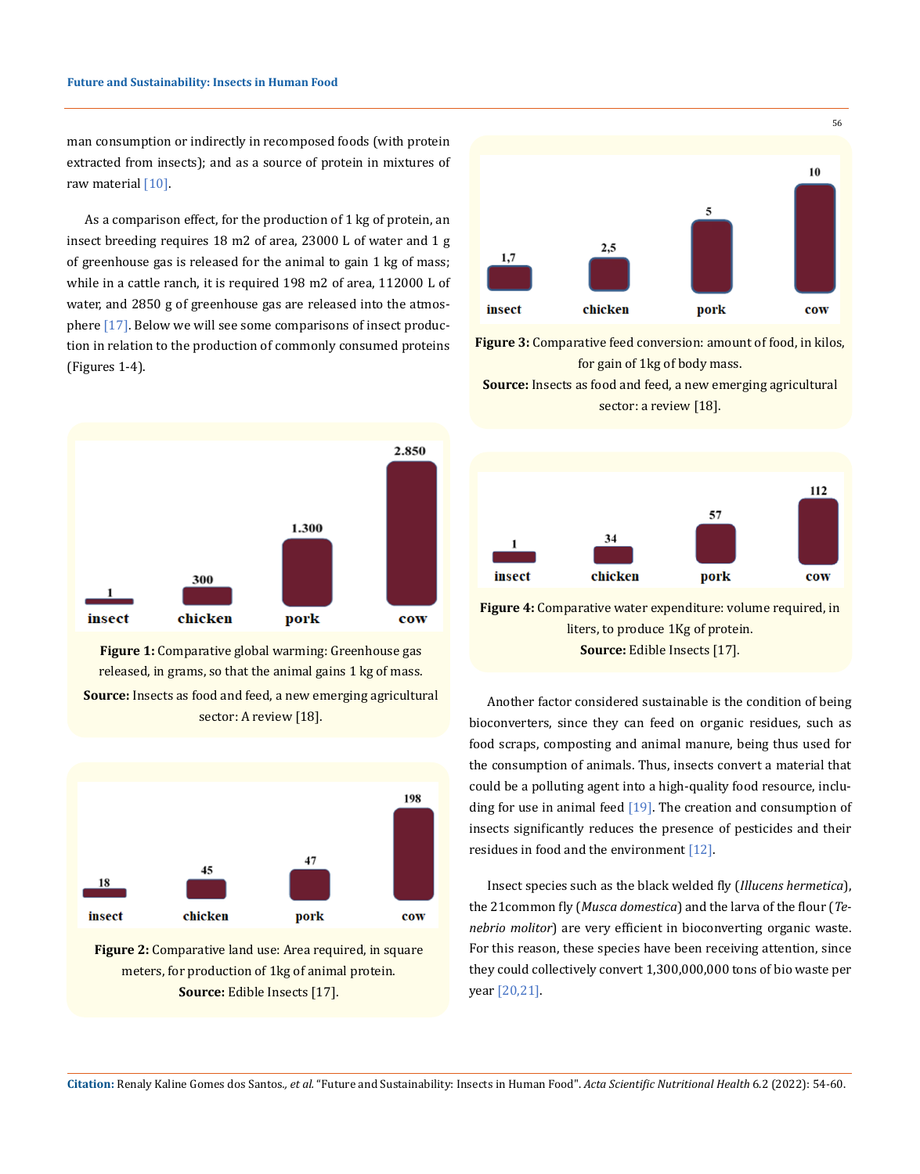man consumption or indirectly in recomposed foods (with protein extracted from insects); and as a source of protein in mixtures of raw material [10].

As a comparison effect, for the production of 1 kg of protein, an insect breeding requires 18 m2 of area, 23000 L of water and 1 g of greenhouse gas is released for the animal to gain 1 kg of mass; while in a cattle ranch, it is required 198 m2 of area, 112000 L of water, and 2850 g of greenhouse gas are released into the atmosphere [17]. Below we will see some comparisons of insect production in relation to the production of commonly consumed proteins (Figures 1-4).



**Figure 1:** Comparative global warming: Greenhouse gas released, in grams, so that the animal gains 1 kg of mass. **Source:** Insects as food and feed, a new emerging agricultural sector: A review [18].



**Figure 2:** Comparative land use: Area required, in square meters, for production of 1kg of animal protein. **Source:** Edible Insects [17].



**Figure 3:** Comparative feed conversion: amount of food, in kilos, for gain of 1kg of body mass. **Source:** Insects as food and feed, a new emerging agricultural

sector: a review [18].



**Figure 4:** Comparative water expenditure: volume required, in liters, to produce 1Kg of protein. **Source:** Edible Insects [17].

Another factor considered sustainable is the condition of being bioconverters, since they can feed on organic residues, such as food scraps, composting and animal manure, being thus used for the consumption of animals. Thus, insects convert a material that could be a polluting agent into a high-quality food resource, including for use in animal feed [19]. The creation and consumption of insects significantly reduces the presence of pesticides and their residues in food and the environment [12].

Insect species such as the black welded fly (*Illucens hermetica*), the 21common fly (*Musca domestica*) and the larva of the flour (*Tenebrio molitor*) are very efficient in bioconverting organic waste. For this reason, these species have been receiving attention, since they could collectively convert 1,300,000,000 tons of bio waste per year [20,21].

**Citation:** Renaly Kaline Gomes dos Santos*., et al.* "Future and Sustainability: Insects in Human Food". *Acta Scientific Nutritional Health* 6.2 (2022): 54-60.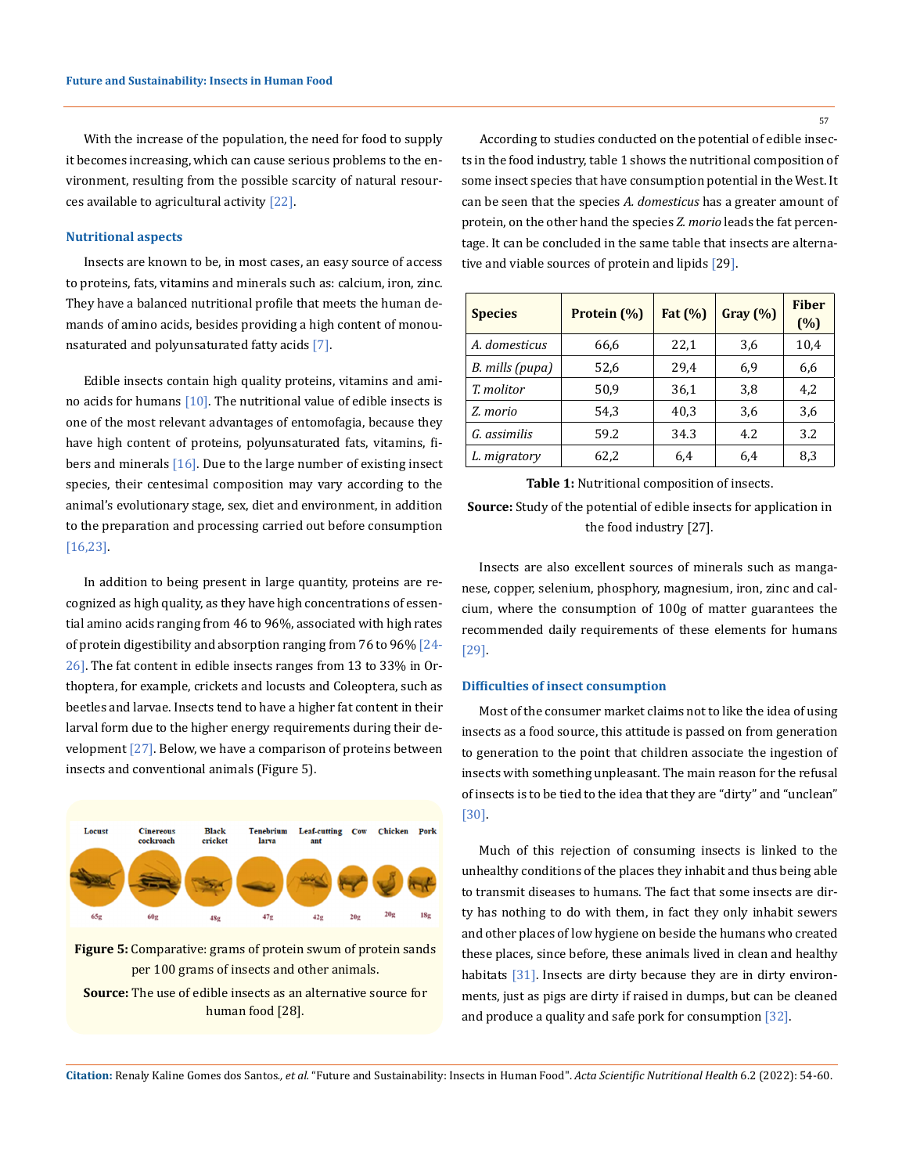With the increase of the population, the need for food to supply it becomes increasing, which can cause serious problems to the environment, resulting from the possible scarcity of natural resources available to agricultural activity [22].

#### **Nutritional aspects**

Insects are known to be, in most cases, an easy source of access to proteins, fats, vitamins and minerals such as: calcium, iron, zinc. They have a balanced nutritional profile that meets the human demands of amino acids, besides providing a high content of monounsaturated and polyunsaturated fatty acids [7].

Edible insects contain high quality proteins, vitamins and amino acids for humans  $[10]$ . The nutritional value of edible insects is one of the most relevant advantages of entomofagia, because they have high content of proteins, polyunsaturated fats, vitamins, fibers and minerals [16]. Due to the large number of existing insect species, their centesimal composition may vary according to the animal's evolutionary stage, sex, diet and environment, in addition to the preparation and processing carried out before consumption [16,23].

In addition to being present in large quantity, proteins are recognized as high quality, as they have high concentrations of essential amino acids ranging from 46 to 96%, associated with high rates of protein digestibility and absorption ranging from 76 to 96% [24-26]. The fat content in edible insects ranges from 13 to 33% in Orthoptera, for example, crickets and locusts and Coleoptera, such as beetles and larvae. Insects tend to have a higher fat content in their larval form due to the higher energy requirements during their development  $[27]$ . Below, we have a comparison of proteins between insects and conventional animals (Figure 5).



**Figure 5:** Comparative: grams of protein swum of protein sands per 100 grams of insects and other animals.



According to studies conducted on the potential of edible insects in the food industry, table 1 shows the nutritional composition of some insect species that have consumption potential in the West. It can be seen that the species *A. domesticus* has a greater amount of protein, on the other hand the species *Z. morio* leads the fat percentage. It can be concluded in the same table that insects are alternative and viable sources of protein and lipids [29].

| <b>Species</b>  | Protein (%) | Fat (%) | Gray (%) | <b>Fiber</b><br>(%) |
|-----------------|-------------|---------|----------|---------------------|
| A. domesticus   | 66,6        | 22,1    | 3,6      | 10,4                |
| B. mills (pupa) | 52,6        | 29,4    | 6,9      | 6,6                 |
| T. molitor      | 50,9        | 36,1    | 3.8      | 4,2                 |
| Z. morio        | 54,3        | 40,3    | 3,6      | 3,6                 |
| G. assimilis    | 59.2        | 34.3    | 4.2      | 3.2                 |
| L. migratory    | 62,2        | 6,4     | 6.4      | 8,3                 |

**Table 1:** Nutritional composition of insects. **Source:** Study of the potential of edible insects for application in the food industry [27].

Insects are also excellent sources of minerals such as manganese, copper, selenium, phosphory, magnesium, iron, zinc and calcium, where the consumption of 100g of matter guarantees the recommended daily requirements of these elements for humans [29].

## **Difficulties of insect consumption**

Most of the consumer market claims not to like the idea of using insects as a food source, this attitude is passed on from generation to generation to the point that children associate the ingestion of insects with something unpleasant. The main reason for the refusal of insects is to be tied to the idea that they are "dirty" and "unclean" [30].

Much of this rejection of consuming insects is linked to the unhealthy conditions of the places they inhabit and thus being able to transmit diseases to humans. The fact that some insects are dirty has nothing to do with them, in fact they only inhabit sewers and other places of low hygiene on beside the humans who created these places, since before, these animals lived in clean and healthy habitats [31]. Insects are dirty because they are in dirty environments, just as pigs are dirty if raised in dumps, but can be cleaned and produce a quality and safe pork for consumption [32].

**Citation:** Renaly Kaline Gomes dos Santos*., et al.* "Future and Sustainability: Insects in Human Food". *Acta Scientific Nutritional Health* 6.2 (2022): 54-60.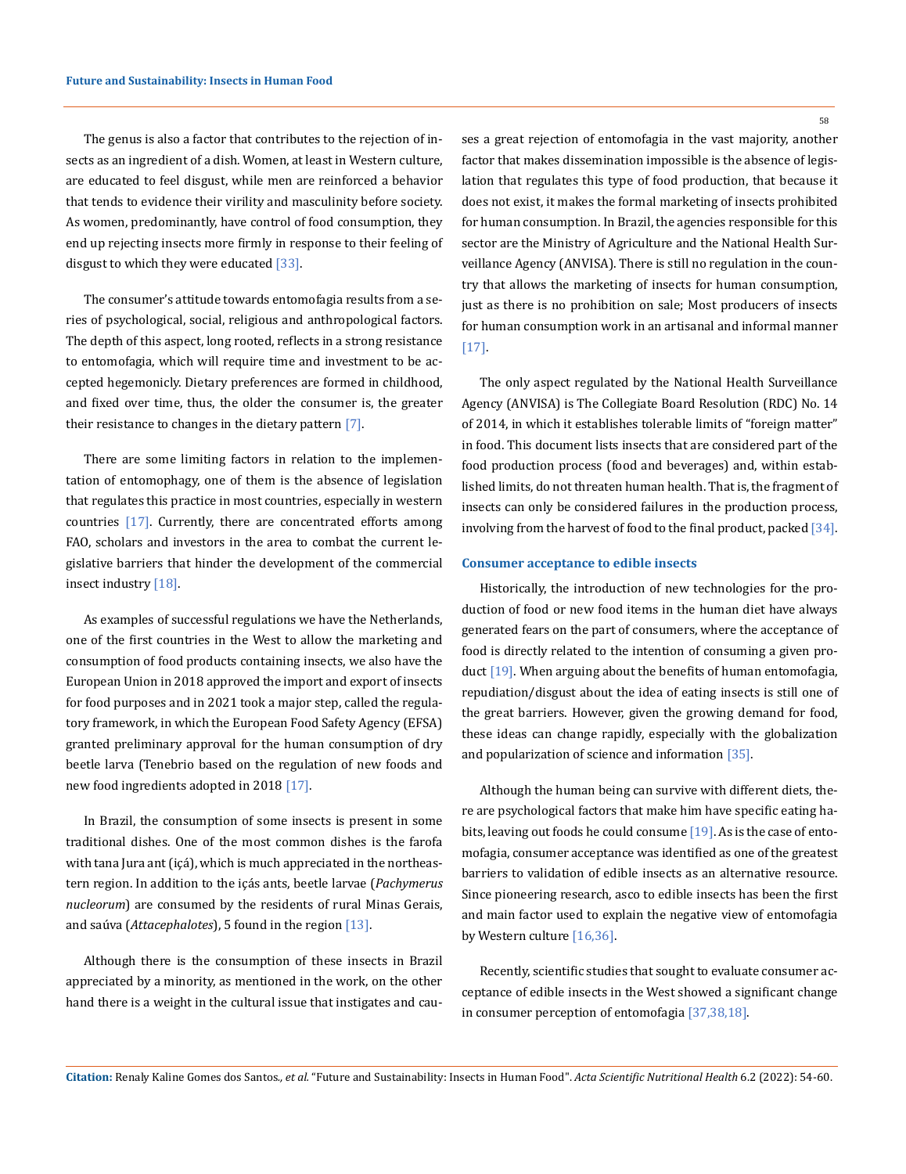The genus is also a factor that contributes to the rejection of insects as an ingredient of a dish. Women, at least in Western culture, are educated to feel disgust, while men are reinforced a behavior that tends to evidence their virility and masculinity before society. As women, predominantly, have control of food consumption, they end up rejecting insects more firmly in response to their feeling of disgust to which they were educated [33].

The consumer's attitude towards entomofagia results from a series of psychological, social, religious and anthropological factors. The depth of this aspect, long rooted, reflects in a strong resistance to entomofagia, which will require time and investment to be accepted hegemonicly. Dietary preferences are formed in childhood, and fixed over time, thus, the older the consumer is, the greater their resistance to changes in the dietary pattern  $[7]$ .

There are some limiting factors in relation to the implementation of entomophagy, one of them is the absence of legislation that regulates this practice in most countries, especially in western countries [17]. Currently, there are concentrated efforts among FAO, scholars and investors in the area to combat the current legislative barriers that hinder the development of the commercial insect industry [18].

As examples of successful regulations we have the Netherlands, one of the first countries in the West to allow the marketing and consumption of food products containing insects, we also have the European Union in 2018 approved the import and export of insects for food purposes and in 2021 took a major step, called the regulatory framework, in which the European Food Safety Agency (EFSA) granted preliminary approval for the human consumption of dry beetle larva (Tenebrio based on the regulation of new foods and new food ingredients adopted in 2018 [17].

In Brazil, the consumption of some insects is present in some traditional dishes. One of the most common dishes is the farofa with tana Jura ant (içá), which is much appreciated in the northeastern region. In addition to the içás ants, beetle larvae (*Pachymerus nucleorum*) are consumed by the residents of rural Minas Gerais, and saúva (*Attacephalotes*), 5 found in the region [13].

Although there is the consumption of these insects in Brazil appreciated by a minority, as mentioned in the work, on the other hand there is a weight in the cultural issue that instigates and causes a great rejection of entomofagia in the vast majority, another factor that makes dissemination impossible is the absence of legislation that regulates this type of food production, that because it does not exist, it makes the formal marketing of insects prohibited for human consumption. In Brazil, the agencies responsible for this sector are the Ministry of Agriculture and the National Health Surveillance Agency (ANVISA). There is still no regulation in the country that allows the marketing of insects for human consumption, just as there is no prohibition on sale; Most producers of insects for human consumption work in an artisanal and informal manner [17].

The only aspect regulated by the National Health Surveillance Agency (ANVISA) is The Collegiate Board Resolution (RDC) No. 14 of 2014, in which it establishes tolerable limits of "foreign matter" in food. This document lists insects that are considered part of the food production process (food and beverages) and, within established limits, do not threaten human health. That is, the fragment of insects can only be considered failures in the production process, involving from the harvest of food to the final product, packed [34].

### **Consumer acceptance to edible insects**

Historically, the introduction of new technologies for the production of food or new food items in the human diet have always generated fears on the part of consumers, where the acceptance of food is directly related to the intention of consuming a given product [19]. When arguing about the benefits of human entomofagia, repudiation/disgust about the idea of eating insects is still one of the great barriers. However, given the growing demand for food, these ideas can change rapidly, especially with the globalization and popularization of science and information [35].

Although the human being can survive with different diets, there are psychological factors that make him have specific eating habits, leaving out foods he could consume [19]. As is the case of entomofagia, consumer acceptance was identified as one of the greatest barriers to validation of edible insects as an alternative resource. Since pioneering research, asco to edible insects has been the first and main factor used to explain the negative view of entomofagia by Western culture [16,36].

Recently, scientific studies that sought to evaluate consumer acceptance of edible insects in the West showed a significant change in consumer perception of entomofagia [37,38,18].

**Citation:** Renaly Kaline Gomes dos Santos*., et al.* "Future and Sustainability: Insects in Human Food". *Acta Scientific Nutritional Health* 6.2 (2022): 54-60.

58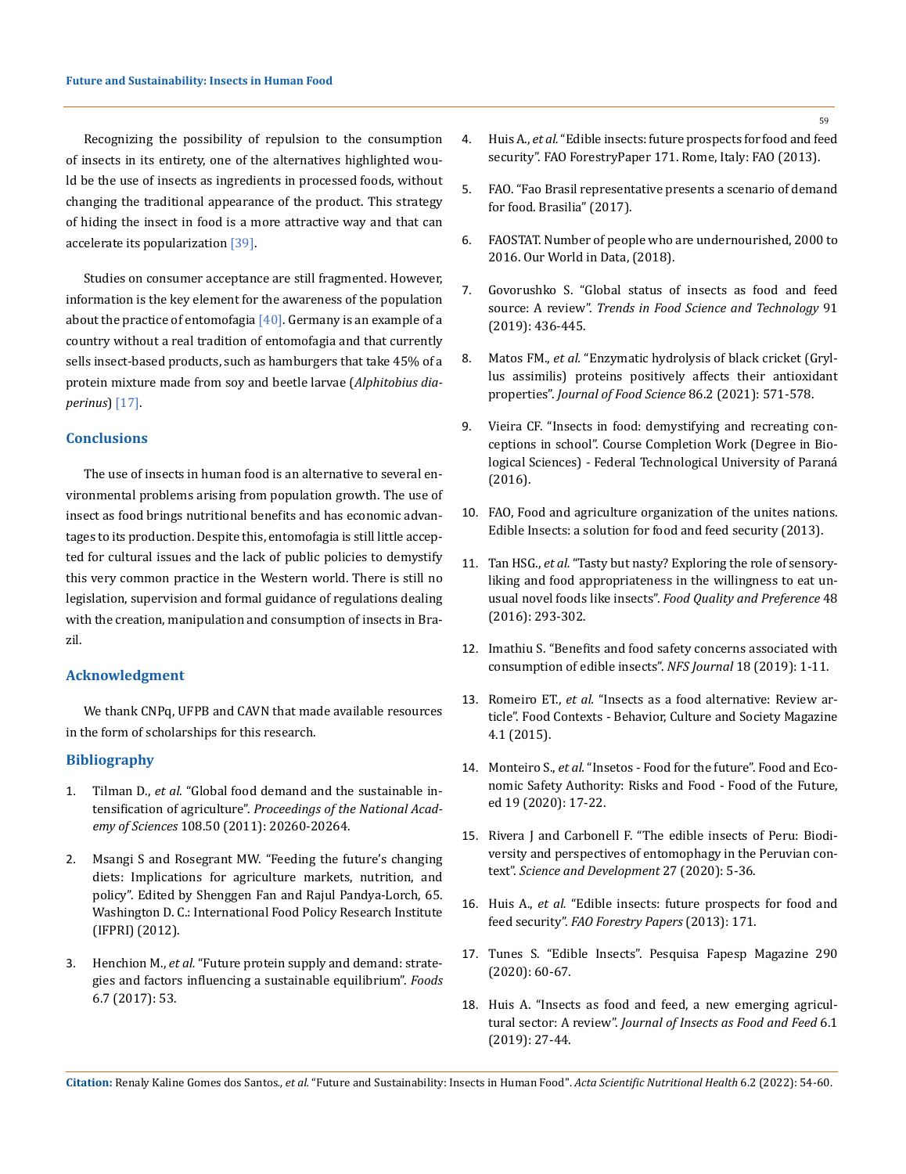Recognizing the possibility of repulsion to the consumption of insects in its entirety, one of the alternatives highlighted would be the use of insects as ingredients in processed foods, without changing the traditional appearance of the product. This strategy of hiding the insect in food is a more attractive way and that can accelerate its popularization [39].

Studies on consumer acceptance are still fragmented. However, information is the key element for the awareness of the population about the practice of entomofagia  $[40]$ . Germany is an example of a country without a real tradition of entomofagia and that currently sells insect-based products, such as hamburgers that take 45% of a protein mixture made from soy and beetle larvae (*Alphitobius diaperinus*) [17].

## **Conclusions**

The use of insects in human food is an alternative to several environmental problems arising from population growth. The use of insect as food brings nutritional benefits and has economic advantages to its production. Despite this, entomofagia is still little accepted for cultural issues and the lack of public policies to demystify this very common practice in the Western world. There is still no legislation, supervision and formal guidance of regulations dealing with the creation, manipulation and consumption of insects in Brazil.

#### **Acknowledgment**

We thank CNPq, UFPB and CAVN that made available resources in the form of scholarships for this research.

#### **Bibliography**

- 1. Tilman D., *et al.* ["Global food demand and the sustainable in](https://pubmed.ncbi.nlm.nih.gov/22106295/)tensification of agriculture". *[Proceedings of the National Acad](https://pubmed.ncbi.nlm.nih.gov/22106295/)emy of Sciences* [108.50 \(2011\): 20260-20264.](https://pubmed.ncbi.nlm.nih.gov/22106295/)
- 2. [Msangi S and Rosegrant MW. "Feeding the future's changing](http://citeseerx.ist.psu.edu/viewdoc/summary?doi=10.1.1.221.3025)  [diets: Implications for agriculture markets, nutrition, and](http://citeseerx.ist.psu.edu/viewdoc/summary?doi=10.1.1.221.3025)  [policy". Edited by Shenggen Fan and Rajul Pandya-Lorch, 65.](http://citeseerx.ist.psu.edu/viewdoc/summary?doi=10.1.1.221.3025)  [Washington D. C.: International Food Policy Research Institute](http://citeseerx.ist.psu.edu/viewdoc/summary?doi=10.1.1.221.3025)  [\(IFPRI\) \(2012\).](http://citeseerx.ist.psu.edu/viewdoc/summary?doi=10.1.1.221.3025)
- 3. Henchion M., *et al.* ["Future protein supply and demand: strate](https://pubmed.ncbi.nlm.nih.gov/28726744/)[gies and factors influencing a sustainable equilibrium".](https://pubmed.ncbi.nlm.nih.gov/28726744/) *Foods* [6.7 \(2017\): 53.](https://pubmed.ncbi.nlm.nih.gov/28726744/)
- 4. Huis A., *et al.* ["Edible insects: future prospects for food and feed](https://www.fao.org/3/i3253e/i3253e.pdf)  [security". FAO ForestryPaper 171. Rome, Italy: FAO \(2013\).](https://www.fao.org/3/i3253e/i3253e.pdf)
- 5. [FAO. "Fao Brasil representative presents a scenario of demand](https://www.fao.org/brasil/noticias/detail-events/en/c/901168/)  [for food. Brasilia" \(2017\).](https://www.fao.org/brasil/noticias/detail-events/en/c/901168/)
- 6. [FAOSTAT. Number of people who are undernourished, 2000 to](https://ourworldindata.org/grapher/undernourished-people-oecd)  [2016. Our World in Data, \(2018\).](https://ourworldindata.org/grapher/undernourished-people-oecd)
- 7. [Govorushko S. "Global status of insects as food and feed](https://www.sciencedirect.com/science/article/abs/pii/S0924224418304874)  source: A review". *Trends in Food [Science and Technology](https://www.sciencedirect.com/science/article/abs/pii/S0924224418304874)* 91 [\(2019\): 436-445.](https://www.sciencedirect.com/science/article/abs/pii/S0924224418304874)
- 8. Matos FM., *et al.* ["Enzymatic hydrolysis of black cricket \(Gryl](https://www.researchgate.net/publication/348506086_Enzymatic_hydrolysis_of_black_cricket_Gryllus_assimilis_proteins_positively_affects_their_antioxidant_properties)[lus assimilis\) proteins positively affects their antioxidant](https://www.researchgate.net/publication/348506086_Enzymatic_hydrolysis_of_black_cricket_Gryllus_assimilis_proteins_positively_affects_their_antioxidant_properties)  properties". *[Journal of Food Science](https://www.researchgate.net/publication/348506086_Enzymatic_hydrolysis_of_black_cricket_Gryllus_assimilis_proteins_positively_affects_their_antioxidant_properties)* 86.2 (2021): 571-578.
- 9. Vieira CF. "Insects in food: demystifying and recreating conceptions in school". Course Completion Work (Degree in Biological Sciences) - Federal Technological University of Paraná (2016).
- 10. FAO, Food and agriculture organization of the unites nations. Edible Insects: a solution for food and feed security (2013).
- 11. Tan HSG., *et al.* ["Tasty but nasty? Exploring the role of sensory](https://www.researchgate.net/publication/284078465_Tasty_but_nasty_Exploring_the_role_of_sensory-liking_and_food_appropriateness_in_the_willingness_to_eat_unusual_novel_foods_like_insects)[liking and food appropriateness in the willingness to eat un](https://www.researchgate.net/publication/284078465_Tasty_but_nasty_Exploring_the_role_of_sensory-liking_and_food_appropriateness_in_the_willingness_to_eat_unusual_novel_foods_like_insects)usual novel foods like insects". *[Food Quality and Preference](https://www.researchgate.net/publication/284078465_Tasty_but_nasty_Exploring_the_role_of_sensory-liking_and_food_appropriateness_in_the_willingness_to_eat_unusual_novel_foods_like_insects)* 48 [\(2016\): 293-302.](https://www.researchgate.net/publication/284078465_Tasty_but_nasty_Exploring_the_role_of_sensory-liking_and_food_appropriateness_in_the_willingness_to_eat_unusual_novel_foods_like_insects)
- 12. [Imathiu S. "Benefits and food safety concerns associated with](https://www.sciencedirect.com/science/article/pii/S235236461930046X)  [consumption of edible insects".](https://www.sciencedirect.com/science/article/pii/S235236461930046X) *NFS Journal* 18 (2019): 1-11.
- 13. Romeiro ET., *et al.* "Insects as a food alternative: Review article". Food Contexts - Behavior, Culture and Society Magazine 4.1 (2015).
- 14. Monteiro S., *et al.* "Insetos Food for the future". Food and Economic Safety Authority: Risks and Food - Food of the Future, ed 19 (2020): 17-22.
- 15. Rivera J and Carbonell F. "The edible insects of Peru: Biodiversity and perspectives of entomophagy in the Peruvian context". *Science and Development* 27 (2020): 5-36.
- 16. Huis A., *et al.* ["Edible insects: future prospects for food and](https://www.fao.org/3/i3253e/i3253e.pdf)  feed security". *[FAO Forestry Papers](https://www.fao.org/3/i3253e/i3253e.pdf)* (2013): 171.
- 17. Tunes S. "Edible Insects". Pesquisa Fapesp Magazine 290 (2020): 60-67.
- 18. [Huis A. "Insects as food and feed, a new emerging agricul](https://www.wageningenacademic.com/doi/10.3920/JIFF2019.0017)tural sector: A review". *[Journal of Insects as Food and Feed](https://www.wageningenacademic.com/doi/10.3920/JIFF2019.0017)* 6.1 [\(2019\): 27-44.](https://www.wageningenacademic.com/doi/10.3920/JIFF2019.0017)

**Citation:** Renaly Kaline Gomes dos Santos*., et al.* "Future and Sustainability: Insects in Human Food". *Acta Scientific Nutritional Health* 6.2 (2022): 54-60.